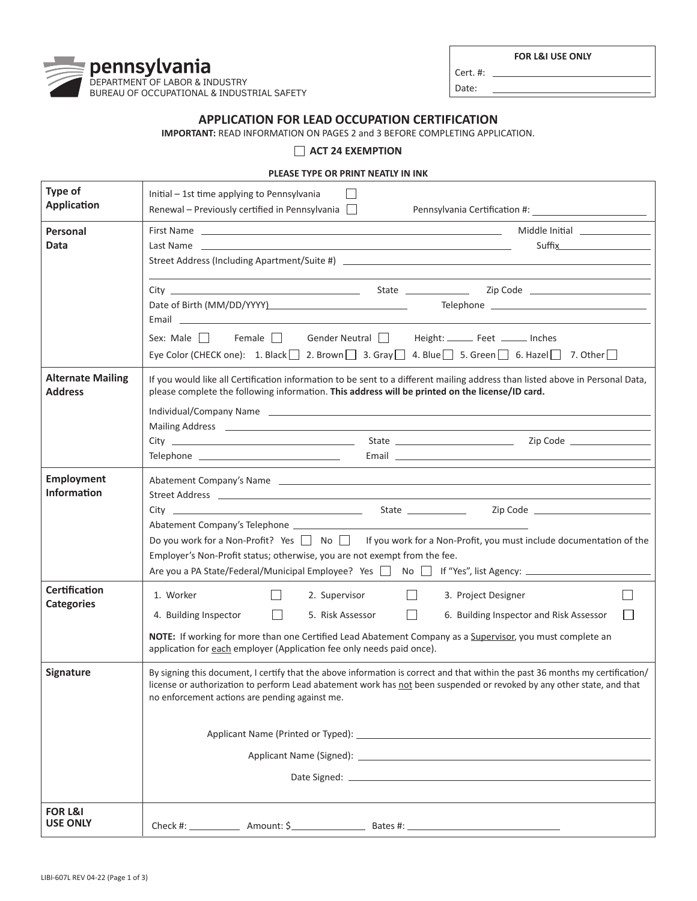**FOR L&I USE ONLY**



Cert. #:  $\overline{\phantom{0}}$ 

Date:

## **APPLICATION FOR LEAD OCCUPATION CERTIFICATION**

**IMPORTANT:** READ INFORMATION ON PAGES 2 and 3 BEFORE COMPLETING APPLICATION.

## **ACT 24 EXEMPTION**

## **PLEASE TYPE OR PRINT NEATLY IN INK**

| Type of<br><b>Application</b>              | Initial - 1st time applying to Pennsylvania<br>Renewal – Previously certified in Pennsylvania $\Box$                                                                                                                                                                                                                                                                                                                                                                                                                                                                                                                                                                                                                                                                                                              |
|--------------------------------------------|-------------------------------------------------------------------------------------------------------------------------------------------------------------------------------------------------------------------------------------------------------------------------------------------------------------------------------------------------------------------------------------------------------------------------------------------------------------------------------------------------------------------------------------------------------------------------------------------------------------------------------------------------------------------------------------------------------------------------------------------------------------------------------------------------------------------|
| Personal<br>Data                           | <b>Suffix Exercise 2008</b>                                                                                                                                                                                                                                                                                                                                                                                                                                                                                                                                                                                                                                                                                                                                                                                       |
|                                            | Email <b>Executive Contract Contract Contract Contract Contract Contract Contract Contract Contract Contract Contract Contract Contract Contract Contract Contract Contract Contract Contract Contract Contract Contract Contrac</b>                                                                                                                                                                                                                                                                                                                                                                                                                                                                                                                                                                              |
|                                            | Sex: Male <b>Female Gender Neutral Height:</b> Feet _____ Inches<br>Eye Color (CHECK one): 1. Black $\Box$ 2. Brown $\Box$ 3. Gray $\Box$ 4. Blue $\Box$ 5. Green $\Box$ 6. Hazel $\Box$ 7. Other $\Box$                                                                                                                                                                                                                                                                                                                                                                                                                                                                                                                                                                                                          |
| <b>Alternate Mailing</b><br><b>Address</b> | If you would like all Certification information to be sent to a different mailing address than listed above in Personal Data,<br>please complete the following information. This address will be printed on the license/ID card.<br>Mailing Address 2012 19:00:00 PM and 20:00:00 PM and 20:00:00 PM and 20:00:00 PM and 20:00:00 PM and 20:00:00                                                                                                                                                                                                                                                                                                                                                                                                                                                                 |
| <b>Employment</b><br><b>Information</b>    | Abatement Company's Name entrance and the control of the control of the control of the control of the control of the control of the control of the control of the control of the control of the control of the control of the<br>Street Address and the contract of the contract of the contract of the contract of the contract of the contract of the contract of the contract of the contract of the contract of the contract of the contract of the contrac<br>Zip Code <u>_________________________</u><br>Do you work for a Non-Profit? Yes □ No □ If you work for a Non-Profit, you must include documentation of the<br>Employer's Non-Profit status; otherwise, you are not exempt from the fee.<br>Are you a PA State/Federal/Municipal Employee? Yes   No   If "Yes", list Agency: ___________________ |
| <b>Certification</b><br><b>Categories</b>  | 1. Worker<br>2. Supervisor<br>$\Box$<br>3. Project Designer<br>П<br>$\Box$<br>4. Building Inspector<br>5. Risk Assessor<br>6. Building Inspector and Risk Assessor<br>NOTE: If working for more than one Certified Lead Abatement Company as a Supervisor, you must complete an<br>application for each employer (Application fee only needs paid once).                                                                                                                                                                                                                                                                                                                                                                                                                                                          |
| <b>Signature</b>                           | By signing this document, I certify that the above information is correct and that within the past 36 months my certification/<br>license or authorization to perform Lead abatement work has not been suspended or revoked by any other state, and that<br>no enforcement actions are pending against me.                                                                                                                                                                                                                                                                                                                                                                                                                                                                                                        |
|                                            | Applicant Name (Signed): New York State State State State State State State State State State State State State State State State State State State State State State State State State State State State State State State St                                                                                                                                                                                                                                                                                                                                                                                                                                                                                                                                                                                    |
| <b>FOR L&amp;I</b><br><b>USE ONLY</b>      |                                                                                                                                                                                                                                                                                                                                                                                                                                                                                                                                                                                                                                                                                                                                                                                                                   |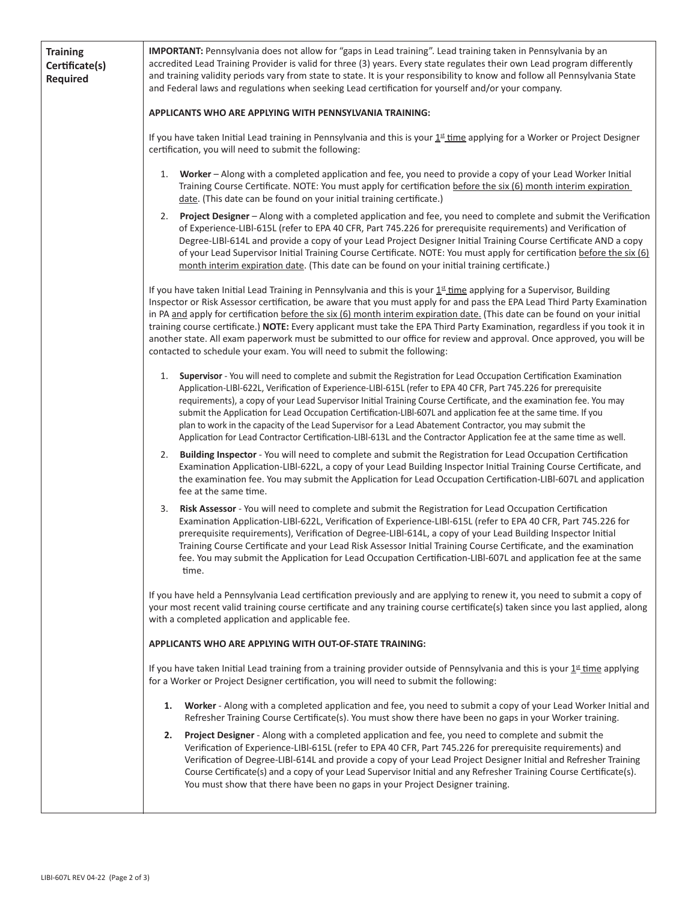| <b>Training</b><br>Certificate(s)<br>Required | IMPORTANT: Pennsylvania does not allow for "gaps in Lead training". Lead training taken in Pennsylvania by an<br>accredited Lead Training Provider is valid for three (3) years. Every state regulates their own Lead program differently<br>and training validity periods vary from state to state. It is your responsibility to know and follow all Pennsylvania State<br>and Federal laws and regulations when seeking Lead certification for yourself and/or your company.                                                                                                                                                                                                                                         |
|-----------------------------------------------|------------------------------------------------------------------------------------------------------------------------------------------------------------------------------------------------------------------------------------------------------------------------------------------------------------------------------------------------------------------------------------------------------------------------------------------------------------------------------------------------------------------------------------------------------------------------------------------------------------------------------------------------------------------------------------------------------------------------|
|                                               | APPLICANTS WHO ARE APPLYING WITH PENNSYLVANIA TRAINING:                                                                                                                                                                                                                                                                                                                                                                                                                                                                                                                                                                                                                                                                |
|                                               | If you have taken Initial Lead training in Pennsylvania and this is your 1st time applying for a Worker or Project Designer<br>certification, you will need to submit the following:                                                                                                                                                                                                                                                                                                                                                                                                                                                                                                                                   |
|                                               | Worker - Along with a completed application and fee, you need to provide a copy of your Lead Worker Initial<br>1.<br>Training Course Certificate. NOTE: You must apply for certification before the six (6) month interim expiration<br>date. (This date can be found on your initial training certificate.)                                                                                                                                                                                                                                                                                                                                                                                                           |
|                                               | Project Designer - Along with a completed application and fee, you need to complete and submit the Verification<br>2.<br>of Experience-LIBI-615L (refer to EPA 40 CFR, Part 745.226 for prerequisite requirements) and Verification of<br>Degree-LIBI-614L and provide a copy of your Lead Project Designer Initial Training Course Certificate AND a copy<br>of your Lead Supervisor Initial Training Course Certificate. NOTE: You must apply for certification before the six (6)<br>month interim expiration date. (This date can be found on your initial training certificate.)                                                                                                                                  |
|                                               | If you have taken Initial Lead Training in Pennsylvania and this is your 1st time applying for a Supervisor, Building<br>Inspector or Risk Assessor certification, be aware that you must apply for and pass the EPA Lead Third Party Examination<br>in PA and apply for certification before the six (6) month interim expiration date. (This date can be found on your initial<br>training course certificate.) NOTE: Every applicant must take the EPA Third Party Examination, regardless if you took it in<br>another state. All exam paperwork must be submitted to our office for review and approval. Once approved, you will be<br>contacted to schedule your exam. You will need to submit the following:    |
|                                               | Supervisor - You will need to complete and submit the Registration for Lead Occupation Certification Examination<br>1.<br>Application-LIBI-622L, Verification of Experience-LIBI-615L (refer to EPA 40 CFR, Part 745.226 for prerequisite<br>requirements), a copy of your Lead Supervisor Initial Training Course Certificate, and the examination fee. You may<br>submit the Application for Lead Occupation Certification-LIBI-607L and application fee at the same time. If you<br>plan to work in the capacity of the Lead Supervisor for a Lead Abatement Contractor, you may submit the<br>Application for Lead Contractor Certification-LIBI-613L and the Contractor Application fee at the same time as well. |
|                                               | Building Inspector - You will need to complete and submit the Registration for Lead Occupation Certification<br>2.<br>Examination Application-LIBI-622L, a copy of your Lead Building Inspector Initial Training Course Certificate, and<br>the examination fee. You may submit the Application for Lead Occupation Certification-LIBI-607L and application<br>fee at the same time.                                                                                                                                                                                                                                                                                                                                   |
|                                               | Risk Assessor - You will need to complete and submit the Registration for Lead Occupation Certification<br>3.<br>Examination Application-LIBI-622L, Verification of Experience-LIBI-615L (refer to EPA 40 CFR, Part 745.226 for<br>prerequisite requirements), Verification of Degree-LIBI-614L, a copy of your Lead Building Inspector Initial<br>Training Course Certificate and your Lead Risk Assessor Initial Training Course Certificate, and the examination<br>fee. You may submit the Application for Lead Occupation Certification-LIBI-607L and application fee at the same<br>time.                                                                                                                        |
|                                               | If you have held a Pennsylvania Lead certification previously and are applying to renew it, you need to submit a copy of<br>your most recent valid training course certificate and any training course certificate(s) taken since you last applied, along<br>with a completed application and applicable fee.                                                                                                                                                                                                                                                                                                                                                                                                          |
|                                               | APPLICANTS WHO ARE APPLYING WITH OUT-OF-STATE TRAINING:                                                                                                                                                                                                                                                                                                                                                                                                                                                                                                                                                                                                                                                                |
|                                               | If you have taken Initial Lead training from a training provider outside of Pennsylvania and this is your $1st$ time applying<br>for a Worker or Project Designer certification, you will need to submit the following:                                                                                                                                                                                                                                                                                                                                                                                                                                                                                                |
|                                               | Worker - Along with a completed application and fee, you need to submit a copy of your Lead Worker Initial and<br>1.<br>Refresher Training Course Certificate(s). You must show there have been no gaps in your Worker training.                                                                                                                                                                                                                                                                                                                                                                                                                                                                                       |
|                                               | Project Designer - Along with a completed application and fee, you need to complete and submit the<br>2.<br>Verification of Experience-LIBI-615L (refer to EPA 40 CFR, Part 745.226 for prerequisite requirements) and<br>Verification of Degree-LIBI-614L and provide a copy of your Lead Project Designer Initial and Refresher Training<br>Course Certificate(s) and a copy of your Lead Supervisor Initial and any Refresher Training Course Certificate(s).<br>You must show that there have been no gaps in your Project Designer training.                                                                                                                                                                      |
|                                               |                                                                                                                                                                                                                                                                                                                                                                                                                                                                                                                                                                                                                                                                                                                        |